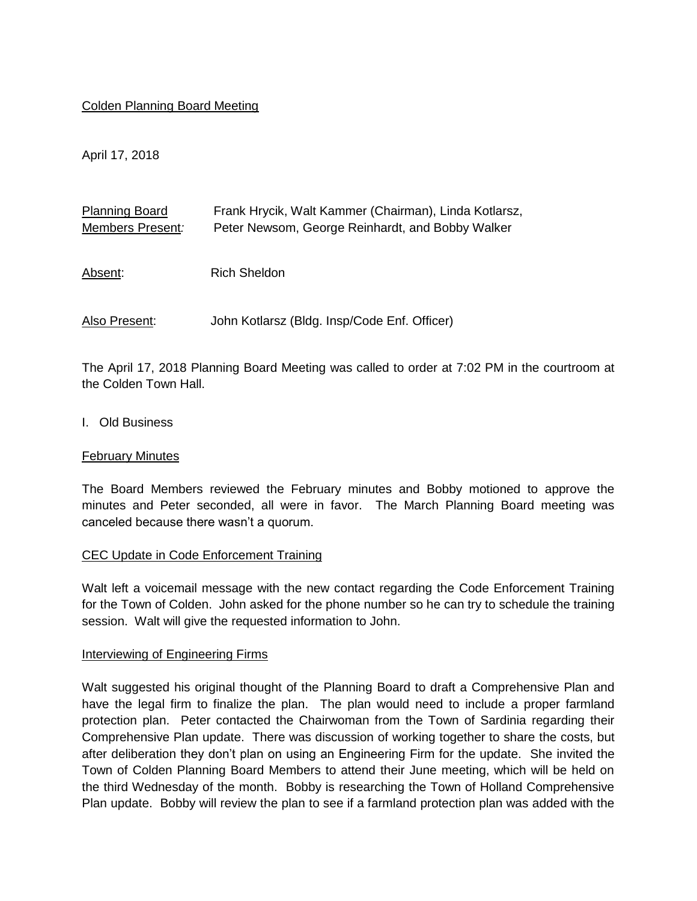### Colden Planning Board Meeting

April 17, 2018

| <b>Planning Board</b><br>Members Present: | Frank Hrycik, Walt Kammer (Chairman), Linda Kotlarsz,<br>Peter Newsom, George Reinhardt, and Bobby Walker |
|-------------------------------------------|-----------------------------------------------------------------------------------------------------------|
| Absent:                                   | <b>Rich Sheldon</b>                                                                                       |
| Also Present:                             | John Kotlarsz (Bldg. Insp/Code Enf. Officer)                                                              |

The April 17, 2018 Planning Board Meeting was called to order at 7:02 PM in the courtroom at the Colden Town Hall.

I. Old Business

#### February Minutes

The Board Members reviewed the February minutes and Bobby motioned to approve the minutes and Peter seconded, all were in favor. The March Planning Board meeting was canceled because there wasn't a quorum.

### CEC Update in Code Enforcement Training

Walt left a voicemail message with the new contact regarding the Code Enforcement Training for the Town of Colden. John asked for the phone number so he can try to schedule the training session. Walt will give the requested information to John.

#### Interviewing of Engineering Firms

Walt suggested his original thought of the Planning Board to draft a Comprehensive Plan and have the legal firm to finalize the plan. The plan would need to include a proper farmland protection plan. Peter contacted the Chairwoman from the Town of Sardinia regarding their Comprehensive Plan update. There was discussion of working together to share the costs, but after deliberation they don't plan on using an Engineering Firm for the update. She invited the Town of Colden Planning Board Members to attend their June meeting, which will be held on the third Wednesday of the month. Bobby is researching the Town of Holland Comprehensive Plan update. Bobby will review the plan to see if a farmland protection plan was added with the